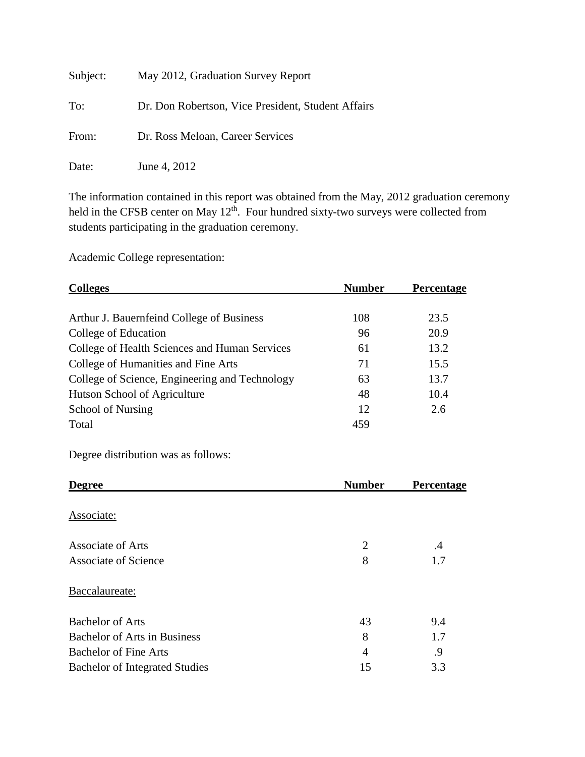| Subject: | May 2012, Graduation Survey Report                 |
|----------|----------------------------------------------------|
| To:      | Dr. Don Robertson, Vice President, Student Affairs |
| From:    | Dr. Ross Meloan, Career Services                   |
| Date:    | June 4, 2012                                       |

The information contained in this report was obtained from the May, 2012 graduation ceremony held in the CFSB center on May  $12<sup>th</sup>$ . Four hundred sixty-two surveys were collected from students participating in the graduation ceremony.

Academic College representation:

| <b>Colleges</b>                                | <b>Number</b> | <b>Percentage</b> |
|------------------------------------------------|---------------|-------------------|
|                                                |               |                   |
| Arthur J. Bauernfeind College of Business      | 108           | 23.5              |
| College of Education                           | 96            | 20.9              |
| College of Health Sciences and Human Services  | 61            | 13.2              |
| College of Humanities and Fine Arts            | 71            | 15.5              |
| College of Science, Engineering and Technology | 63            | 13.7              |
| Hutson School of Agriculture                   | 48            | 10.4              |
| School of Nursing                              | 12            | 2.6               |
| Total                                          | 459           |                   |

Degree distribution was as follows:

| <b>Degree</b>                         | <b>Number</b> | Percentage |
|---------------------------------------|---------------|------------|
| Associate:                            |               |            |
| Associate of Arts                     | 2             | $\cdot$    |
| <b>Associate of Science</b>           | 8             | 1.7        |
| Baccalaureate:                        |               |            |
| <b>Bachelor of Arts</b>               | 43            | 9.4        |
| <b>Bachelor of Arts in Business</b>   | 8             | 1.7        |
| <b>Bachelor of Fine Arts</b>          | 4             | .9         |
| <b>Bachelor of Integrated Studies</b> | 15            | 3.3        |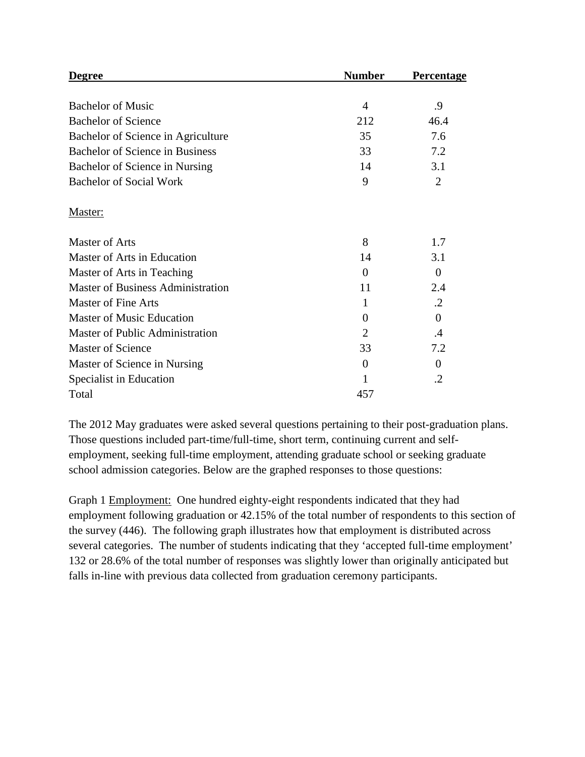| Degree                                   | <b>Number</b>  | <b>Percentage</b> |
|------------------------------------------|----------------|-------------------|
|                                          |                |                   |
| <b>Bachelor of Music</b>                 | 4              | .9                |
| <b>Bachelor of Science</b>               | 212            | 46.4              |
| Bachelor of Science in Agriculture       | 35             | 7.6               |
| Bachelor of Science in Business          | 33             | 7.2               |
| Bachelor of Science in Nursing           | 14             | 3.1               |
| <b>Bachelor of Social Work</b>           | 9              | $\overline{2}$    |
| Master:                                  |                |                   |
| <b>Master of Arts</b>                    | 8              | 1.7               |
| Master of Arts in Education              | 14             | 3.1               |
| Master of Arts in Teaching               | $\Omega$       | $\theta$          |
| <b>Master of Business Administration</b> | 11             | 2.4               |
| <b>Master of Fine Arts</b>               | 1              | $\cdot$ .2        |
| <b>Master of Music Education</b>         | 0              | $\theta$          |
| <b>Master of Public Administration</b>   | $\overline{2}$ | .4                |
| <b>Master of Science</b>                 | 33             | 7.2               |
| Master of Science in Nursing             | 0              | $\Omega$          |
| Specialist in Education                  | 1              | .2                |
| Total                                    | 457            |                   |

The 2012 May graduates were asked several questions pertaining to their post-graduation plans. Those questions included part-time/full-time, short term, continuing current and selfemployment, seeking full-time employment, attending graduate school or seeking graduate school admission categories. Below are the graphed responses to those questions:

Graph 1 Employment: One hundred eighty-eight respondents indicated that they had employment following graduation or 42.15% of the total number of respondents to this section of the survey (446). The following graph illustrates how that employment is distributed across several categories. The number of students indicating that they 'accepted full-time employment' 132 or 28.6% of the total number of responses was slightly lower than originally anticipated but falls in-line with previous data collected from graduation ceremony participants.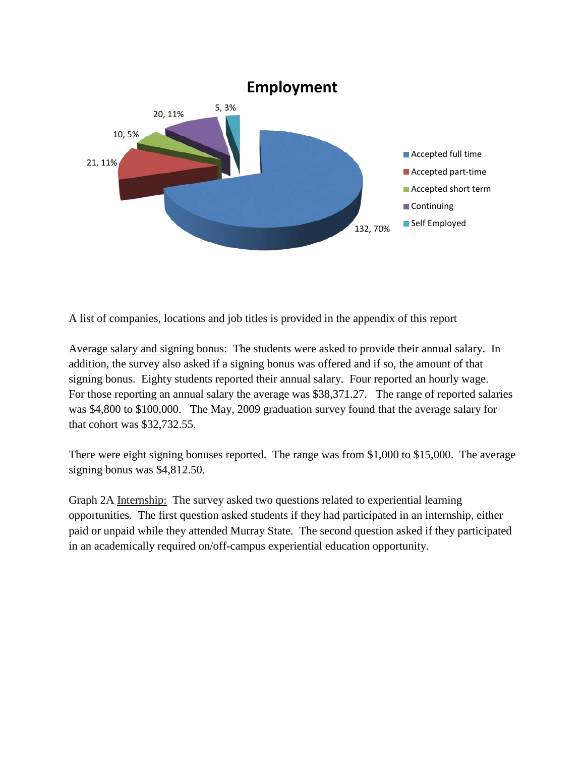

A list of companies, locations and job titles is provided in the appendix of this report

Average salary and signing bonus: The students were asked to provide their annual salary. In addition, the survey also asked if a signing bonus was offered and if so, the amount of that signing bonus. Eighty students reported their annual salary. Four reported an hourly wage. For those reporting an annual salary the average was \$38,371.27. The range of reported salaries was \$4,800 to \$100,000. The May, 2009 graduation survey found that the average salary for that cohort was \$32,732.55.

There were eight signing bonuses reported. The range was from \$1,000 to \$15,000. The average signing bonus was \$4,812.50.

Graph 2A Internship: The survey asked two questions related to experiential learning opportunities. The first question asked students if they had participated in an internship, either paid or unpaid while they attended Murray State. The second question asked if they participated in an academically required on/off-campus experiential education opportunity.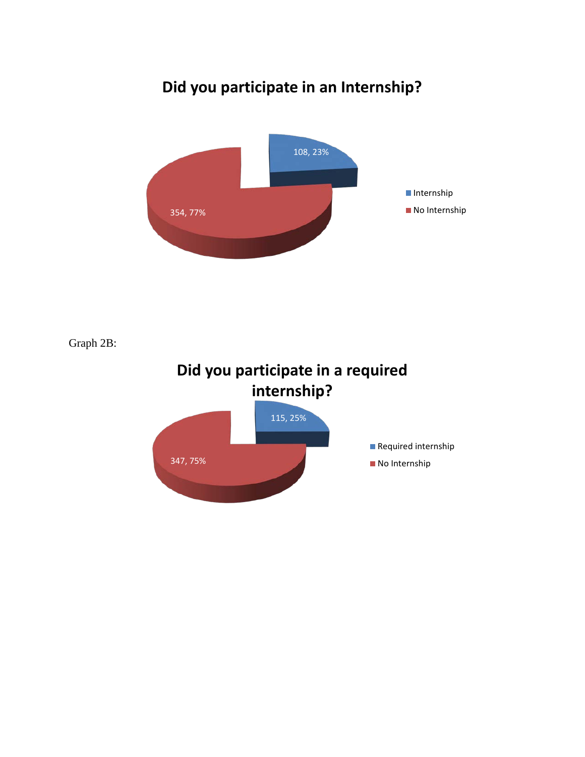## **Did you participate in an Internship?**



Graph 2B: